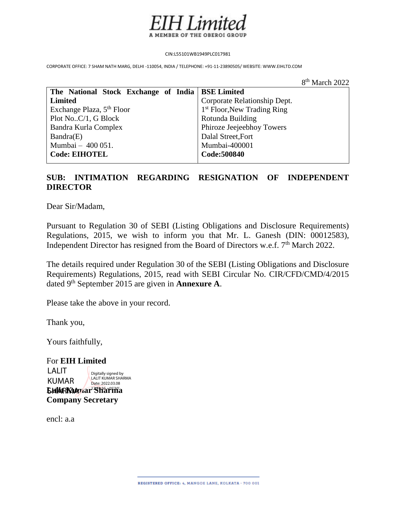

CIN:L55101WB1949PLC017981

CORPORATE OFFICE: 7 SHAM NATH MARG, DELHI -110054, INDIA / TELEPHONE: +91-11-23890505/ WEBSITE: WWW.EIHLTD.COM

8 and 20 and 20 and 20 and 20 and 20 and 20 and 20 and 20 and 20 and 20 and 20 and 20 and 20 and 20 and 20 and 8<sup>th</sup> March 2022

| The National Stock Exchange of India   BSE Limited |                               |
|----------------------------------------------------|-------------------------------|
| <b>Limited</b>                                     | Corporate Relationship Dept.  |
| Exchange Plaza, 5 <sup>th</sup> Floor              | $1st$ Floor, New Trading Ring |
| Plot NoC/1, G Block                                | Rotunda Building              |
| Bandra Kurla Complex                               | Phiroze Jeejeebhoy Towers     |
| Bandra(E)                                          | Dalal Street, Fort            |
| Mumbai - 400 051.                                  | Mumbai-400001                 |
| <b>Code: EIHOTEL</b>                               | Code: 500840                  |
|                                                    |                               |

## **SUB: INTIMATION REGARDING RESIGNATION OF INDEPENDENT DIRECTOR**

Dear Sir/Madam,

Pursuant to Regulation 30 of SEBI (Listing Obligations and Disclosure Requirements) Regulations, 2015, we wish to inform you that Mr. L. Ganesh (DIN: 00012583), Independent Director has resigned from the Board of Directors w.e.f. 7<sup>th</sup> March 2022.

The details required under Regulation 30 of the SEBI (Listing Obligations and Disclosure Requirements) Regulations, 2015, read with SEBI Circular No. CIR/CFD/CMD/4/2015 dated 9th September 2015 are given in **Annexure A**.

Please take the above in your record.

Thank you,

Yours faithfully,

For **EIH Limited LalitRKumar Sharm**a **Company Secretary** LALIT KUMAR Digitally signed by LALIT KUMAR SHARMA Date: 2022.03.08

encl: a.a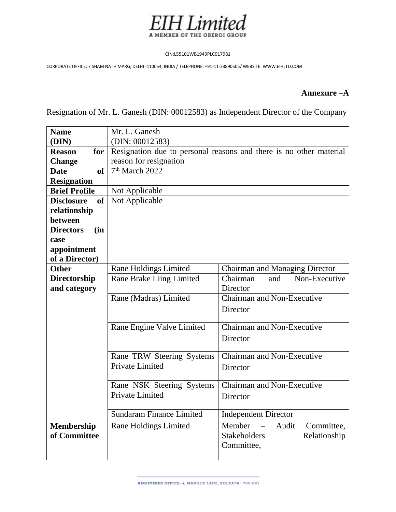

## CIN:L55101WB1949PLC017981

CORPORATE OFFICE: 7 SHAM NATH MARG, DELHI -110054, INDIA / TELEPHONE: +91-11-23890505/ WEBSITE: WWW.EIHLTD.COM

## **Annexure –A**

Resignation of Mr. L. Ganesh (DIN: 00012583) as Independent Director of the Company

| <b>Name</b>                    | Mr. L. Ganesh                   |                                                                    |
|--------------------------------|---------------------------------|--------------------------------------------------------------------|
| (DIN)                          | (DIN: 00012583)                 |                                                                    |
| <b>Reason</b><br>for           |                                 | Resignation due to personal reasons and there is no other material |
| <b>Change</b>                  | reason for resignation          |                                                                    |
| of<br><b>Date</b>              | 7 <sup>th</sup> March 2022      |                                                                    |
| <b>Resignation</b>             |                                 |                                                                    |
| <b>Brief Profile</b>           | Not Applicable                  |                                                                    |
| <b>of</b><br><b>Disclosure</b> | Not Applicable                  |                                                                    |
| relationship                   |                                 |                                                                    |
| between                        |                                 |                                                                    |
| <b>Directors</b><br>(in        |                                 |                                                                    |
| case                           |                                 |                                                                    |
| appointment                    |                                 |                                                                    |
| of a Director)                 |                                 |                                                                    |
| <b>Other</b>                   | <b>Rane Holdings Limited</b>    | <b>Chairman and Managing Director</b>                              |
| <b>Directorship</b>            | Rane Brake Liing Limited        | Non-Executive<br>Chairman<br>and                                   |
| and category                   |                                 | Director                                                           |
|                                | Rane (Madras) Limited           | Chairman and Non-Executive                                         |
|                                |                                 | Director                                                           |
|                                |                                 | Chairman and Non-Executive                                         |
|                                | Rane Engine Valve Limited       |                                                                    |
|                                |                                 | Director                                                           |
|                                | Rane TRW Steering Systems       | Chairman and Non-Executive                                         |
|                                | Private Limited                 |                                                                    |
|                                |                                 | Director                                                           |
|                                | Rane NSK Steering Systems       | Chairman and Non-Executive                                         |
|                                | Private Limited                 | Director                                                           |
|                                |                                 |                                                                    |
|                                | <b>Sundaram Finance Limited</b> | <b>Independent Director</b>                                        |
| Membership                     | Rane Holdings Limited           | Member<br>Audit<br>Committee,                                      |
| of Committee                   |                                 | <b>Stakeholders</b><br>Relationship                                |
|                                |                                 | Committee,                                                         |
|                                |                                 |                                                                    |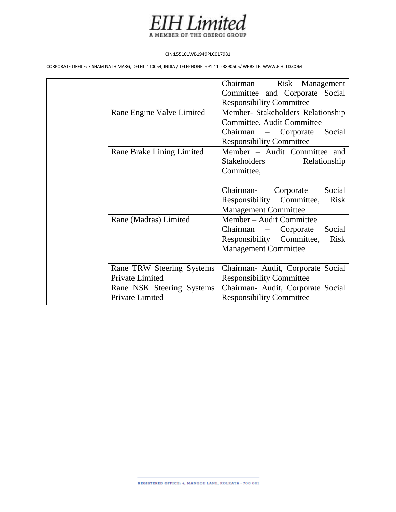

## CIN:L55101WB1949PLC017981

CORPORATE OFFICE: 7 SHAM NATH MARG, DELHI -110054, INDIA / TELEPHONE: +91-11-23890505/ WEBSITE: WWW.EIHLTD.COM

|                           | Chairman – Risk Management               |
|---------------------------|------------------------------------------|
|                           | Committee and Corporate Social           |
|                           | <b>Responsibility Committee</b>          |
| Rane Engine Valve Limited | Member- Stakeholders Relationship        |
|                           | Committee, Audit Committee               |
|                           | Chairman – Corporate<br>Social           |
|                           | <b>Responsibility Committee</b>          |
| Rane Brake Lining Limited | Member - Audit Committee and             |
|                           | Stakeholders<br>Relationship             |
|                           | Committee,                               |
|                           |                                          |
|                           | Social<br>Chairman-<br>Corporate         |
|                           | Responsibility Committee,<br><b>Risk</b> |
|                           | <b>Management Committee</b>              |
| Rane (Madras) Limited     | Member - Audit Committee                 |
|                           | Chairman – Corporate<br>Social           |
|                           | Responsibility Committee,<br><b>Risk</b> |
|                           | <b>Management Committee</b>              |
|                           |                                          |
| Rane TRW Steering Systems | Chairman- Audit, Corporate Social        |
| Private Limited           | <b>Responsibility Committee</b>          |
| Rane NSK Steering Systems | Chairman- Audit, Corporate Social        |
| Private Limited           | <b>Responsibility Committee</b>          |
|                           |                                          |